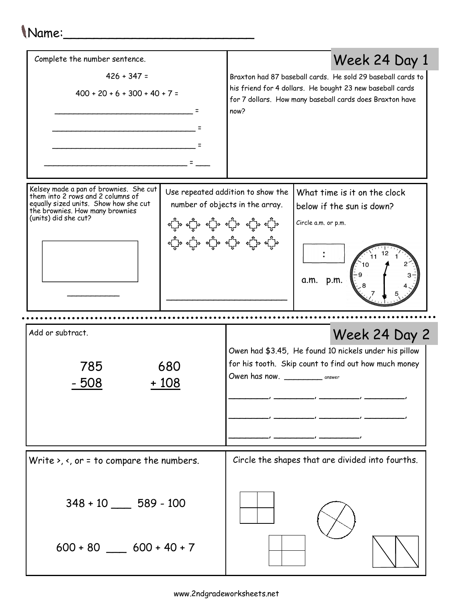## Name:

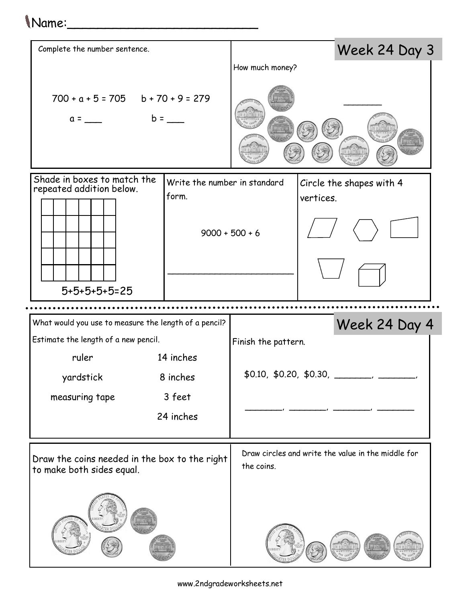